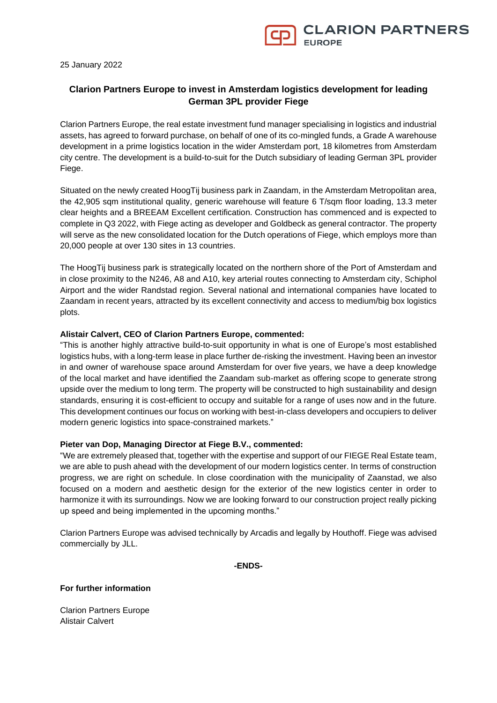

25 January 2022

# **Clarion Partners Europe to invest in Amsterdam logistics development for leading German 3PL provider Fiege**

Clarion Partners Europe, the real estate investment fund manager specialising in logistics and industrial assets, has agreed to forward purchase, on behalf of one of its co-mingled funds, a Grade A warehouse development in a prime logistics location in the wider Amsterdam port, 18 kilometres from Amsterdam city centre. The development is a build-to-suit for the Dutch subsidiary of leading German 3PL provider Fiege.

Situated on the newly created HoogTij business park in Zaandam, in the Amsterdam Metropolitan area, the 42,905 sqm institutional quality, generic warehouse will feature 6 T/sqm floor loading, 13.3 meter clear heights and a BREEAM Excellent certification. Construction has commenced and is expected to complete in Q3 2022, with Fiege acting as developer and Goldbeck as general contractor. The property will serve as the new consolidated location for the Dutch operations of Fiege, which employs more than 20,000 people at over 130 sites in 13 countries.

The HoogTij business park is strategically located on the northern shore of the Port of Amsterdam and in close proximity to the N246, A8 and A10, key arterial routes connecting to Amsterdam city, Schiphol Airport and the wider Randstad region. Several national and international companies have located to Zaandam in recent years, attracted by its excellent connectivity and access to medium/big box logistics plots.

### **Alistair Calvert, CEO of Clarion Partners Europe, commented:**

"This is another highly attractive build-to-suit opportunity in what is one of Europe's most established logistics hubs, with a long-term lease in place further de-risking the investment. Having been an investor in and owner of warehouse space around Amsterdam for over five years, we have a deep knowledge of the local market and have identified the Zaandam sub-market as offering scope to generate strong upside over the medium to long term. The property will be constructed to high sustainability and design standards, ensuring it is cost-efficient to occupy and suitable for a range of uses now and in the future. This development continues our focus on working with best-in-class developers and occupiers to deliver modern generic logistics into space-constrained markets."

### **Pieter van Dop, Managing Director at Fiege B.V., commented:**

"We are extremely pleased that, together with the expertise and support of our FIEGE Real Estate team, we are able to push ahead with the development of our modern logistics center. In terms of construction progress, we are right on schedule. In close coordination with the municipality of Zaanstad, we also focused on a modern and aesthetic design for the exterior of the new logistics center in order to harmonize it with its surroundings. Now we are looking forward to our construction project really picking up speed and being implemented in the upcoming months."

Clarion Partners Europe was advised technically by Arcadis and legally by Houthoff. Fiege was advised commercially by JLL.

**-ENDS-**

### **For further information**

Clarion Partners Europe Alistair Calvert